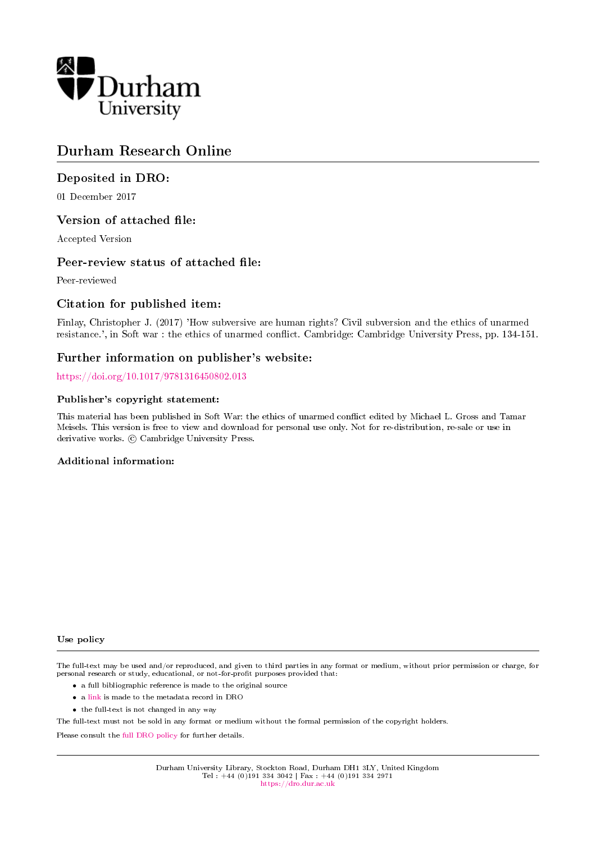

# Durham Research Online

# Deposited in DRO:

01 December 2017

# Version of attached file:

Accepted Version

# Peer-review status of attached file:

Peer-reviewed

# Citation for published item:

Finlay, Christopher J. (2017) 'How subversive are human rights? Civil subversion and the ethics of unarmed resistance.', in Soft war : the ethics of unarmed conflict. Cambridge: Cambridge University Press, pp. 134-151.

# Further information on publisher's website:

<https://doi.org/10.1017/9781316450802.013>

#### Publisher's copyright statement:

This material has been published in Soft War: the ethics of unarmed conflict edited by Michael L. Gross and Tamar Meisels. This version is free to view and download for personal use only. Not for re-distribution, re-sale or use in derivative works.  $\odot$  Cambridge University Press.

### Additional information:

#### Use policy

The full-text may be used and/or reproduced, and given to third parties in any format or medium, without prior permission or charge, for personal research or study, educational, or not-for-profit purposes provided that:

- a full bibliographic reference is made to the original source
- a [link](http://dro.dur.ac.uk/23605/) is made to the metadata record in DRO
- the full-text is not changed in any way

The full-text must not be sold in any format or medium without the formal permission of the copyright holders.

Please consult the [full DRO policy](https://dro.dur.ac.uk/policies/usepolicy.pdf) for further details.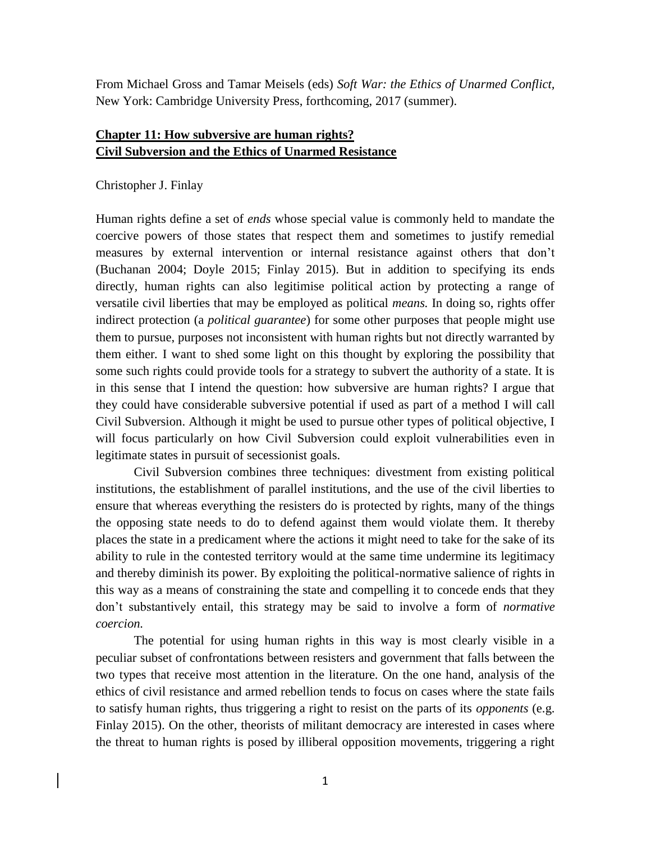From Michael Gross and Tamar Meisels (eds) *Soft War: the Ethics of Unarmed Conflict,*  New York: Cambridge University Press, forthcoming, 2017 (summer).

# **Chapter 11: How subversive are human rights? Civil Subversion and the Ethics of Unarmed Resistance**

# Christopher J. Finlay

Human rights define a set of *ends* whose special value is commonly held to mandate the coercive powers of those states that respect them and sometimes to justify remedial measures by external intervention or internal resistance against others that don't (Buchanan 2004; Doyle 2015; Finlay 2015). But in addition to specifying its ends directly*,* human rights can also legitimise political action by protecting a range of versatile civil liberties that may be employed as political *means.* In doing so, rights offer indirect protection (a *political guarantee*) for some other purposes that people might use them to pursue, purposes not inconsistent with human rights but not directly warranted by them either*.* I want to shed some light on this thought by exploring the possibility that some such rights could provide tools for a strategy to subvert the authority of a state. It is in this sense that I intend the question: how subversive are human rights? I argue that they could have considerable subversive potential if used as part of a method I will call Civil Subversion. Although it might be used to pursue other types of political objective, I will focus particularly on how Civil Subversion could exploit vulnerabilities even in legitimate states in pursuit of secessionist goals.

Civil Subversion combines three techniques: divestment from existing political institutions, the establishment of parallel institutions, and the use of the civil liberties to ensure that whereas everything the resisters do is protected by rights, many of the things the opposing state needs to do to defend against them would violate them. It thereby places the state in a predicament where the actions it might need to take for the sake of its ability to rule in the contested territory would at the same time undermine its legitimacy and thereby diminish its power. By exploiting the political-normative salience of rights in this way as a means of constraining the state and compelling it to concede ends that they don't substantively entail, this strategy may be said to involve a form of *normative coercion.* 

The potential for using human rights in this way is most clearly visible in a peculiar subset of confrontations between resisters and government that falls between the two types that receive most attention in the literature. On the one hand, analysis of the ethics of civil resistance and armed rebellion tends to focus on cases where the state fails to satisfy human rights, thus triggering a right to resist on the parts of its *opponents* (e.g. Finlay 2015). On the other, theorists of militant democracy are interested in cases where the threat to human rights is posed by illiberal opposition movements, triggering a right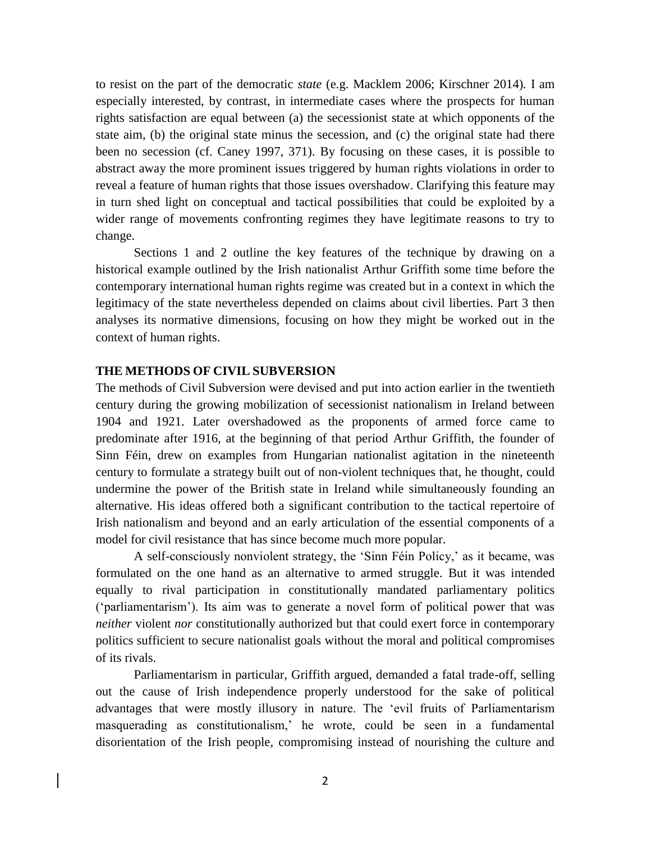to resist on the part of the democratic *state* (e.g. Macklem 2006; Kirschner 2014)*.* I am especially interested, by contrast, in intermediate cases where the prospects for human rights satisfaction are equal between (a) the secessionist state at which opponents of the state aim, (b) the original state minus the secession, and (c) the original state had there been no secession (cf. Caney 1997, 371). By focusing on these cases, it is possible to abstract away the more prominent issues triggered by human rights violations in order to reveal a feature of human rights that those issues overshadow. Clarifying this feature may in turn shed light on conceptual and tactical possibilities that could be exploited by a wider range of movements confronting regimes they have legitimate reasons to try to change.

Sections 1 and 2 outline the key features of the technique by drawing on a historical example outlined by the Irish nationalist Arthur Griffith some time before the contemporary international human rights regime was created but in a context in which the legitimacy of the state nevertheless depended on claims about civil liberties. Part 3 then analyses its normative dimensions, focusing on how they might be worked out in the context of human rights.

### **THE METHODS OF CIVIL SUBVERSION**

The methods of Civil Subversion were devised and put into action earlier in the twentieth century during the growing mobilization of secessionist nationalism in Ireland between 1904 and 1921. Later overshadowed as the proponents of armed force came to predominate after 1916, at the beginning of that period Arthur Griffith, the founder of Sinn Féin, drew on examples from Hungarian nationalist agitation in the nineteenth century to formulate a strategy built out of non-violent techniques that, he thought, could undermine the power of the British state in Ireland while simultaneously founding an alternative. His ideas offered both a significant contribution to the tactical repertoire of Irish nationalism and beyond and an early articulation of the essential components of a model for civil resistance that has since become much more popular.

A self-consciously nonviolent strategy, the 'Sinn Féin Policy,' as it became, was formulated on the one hand as an alternative to armed struggle. But it was intended equally to rival participation in constitutionally mandated parliamentary politics ('parliamentarism'). Its aim was to generate a novel form of political power that was *neither* violent *nor* constitutionally authorized but that could exert force in contemporary politics sufficient to secure nationalist goals without the moral and political compromises of its rivals.

Parliamentarism in particular, Griffith argued, demanded a fatal trade-off, selling out the cause of Irish independence properly understood for the sake of political advantages that were mostly illusory in nature. The 'evil fruits of Parliamentarism masquerading as constitutionalism,' he wrote, could be seen in a fundamental disorientation of the Irish people, compromising instead of nourishing the culture and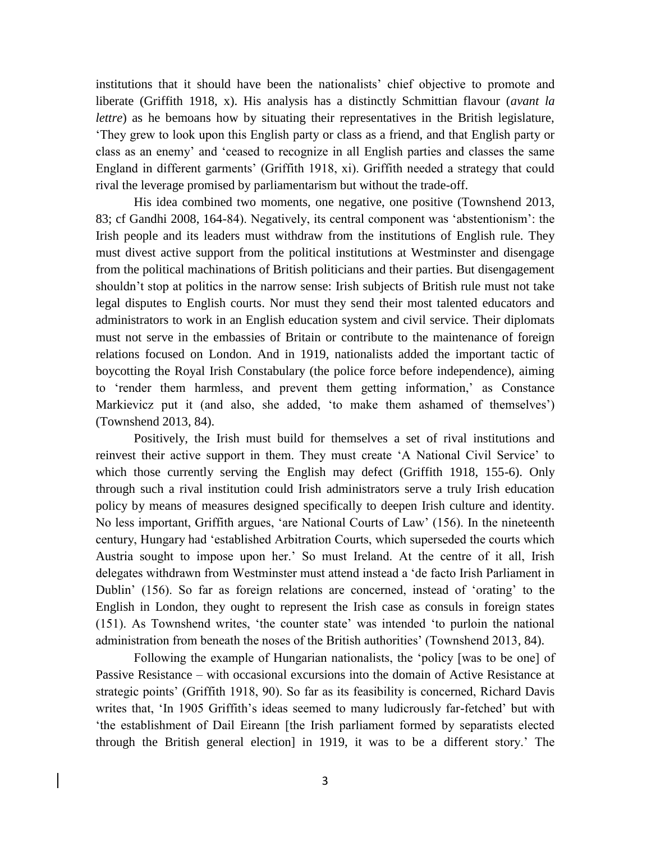institutions that it should have been the nationalists' chief objective to promote and liberate (Griffith 1918, x). His analysis has a distinctly Schmittian flavour (*avant la lettre*) as he bemoans how by situating their representatives in the British legislature, 'They grew to look upon this English party or class as a friend, and that English party or class as an enemy' and 'ceased to recognize in all English parties and classes the same England in different garments' (Griffith 1918, xi). Griffith needed a strategy that could rival the leverage promised by parliamentarism but without the trade-off.

His idea combined two moments, one negative, one positive (Townshend 2013, 83; cf Gandhi 2008, 164-84). Negatively, its central component was 'abstentionism': the Irish people and its leaders must withdraw from the institutions of English rule. They must divest active support from the political institutions at Westminster and disengage from the political machinations of British politicians and their parties. But disengagement shouldn't stop at politics in the narrow sense: Irish subjects of British rule must not take legal disputes to English courts. Nor must they send their most talented educators and administrators to work in an English education system and civil service. Their diplomats must not serve in the embassies of Britain or contribute to the maintenance of foreign relations focused on London. And in 1919, nationalists added the important tactic of boycotting the Royal Irish Constabulary (the police force before independence), aiming to 'render them harmless, and prevent them getting information,' as Constance Markievicz put it (and also, she added, 'to make them ashamed of themselves') (Townshend 2013, 84).

Positively, the Irish must build for themselves a set of rival institutions and reinvest their active support in them. They must create 'A National Civil Service' to which those currently serving the English may defect (Griffith 1918, 155-6). Only through such a rival institution could Irish administrators serve a truly Irish education policy by means of measures designed specifically to deepen Irish culture and identity. No less important, Griffith argues, 'are National Courts of Law' (156). In the nineteenth century, Hungary had 'established Arbitration Courts, which superseded the courts which Austria sought to impose upon her.' So must Ireland. At the centre of it all, Irish delegates withdrawn from Westminster must attend instead a 'de facto Irish Parliament in Dublin' (156). So far as foreign relations are concerned, instead of 'orating' to the English in London, they ought to represent the Irish case as consuls in foreign states (151). As Townshend writes, 'the counter state' was intended 'to purloin the national administration from beneath the noses of the British authorities' (Townshend 2013, 84).

Following the example of Hungarian nationalists, the 'policy [was to be one] of Passive Resistance – with occasional excursions into the domain of Active Resistance at strategic points' (Griffith 1918, 90). So far as its feasibility is concerned, Richard Davis writes that, 'In 1905 Griffith's ideas seemed to many ludicrously far-fetched' but with 'the establishment of Dail Eireann [the Irish parliament formed by separatists elected through the British general election] in 1919, it was to be a different story.' The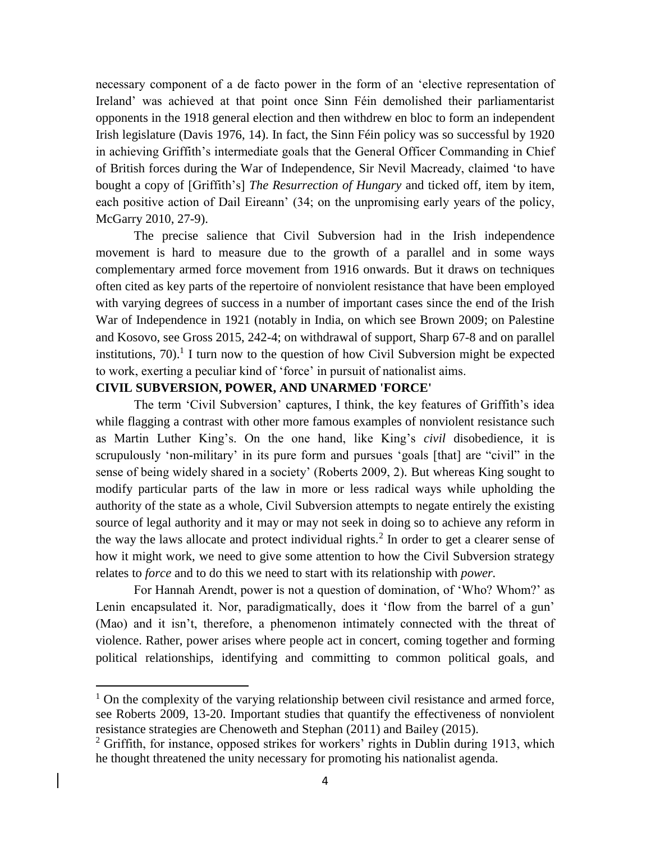necessary component of a de facto power in the form of an 'elective representation of Ireland' was achieved at that point once Sinn Féin demolished their parliamentarist opponents in the 1918 general election and then withdrew en bloc to form an independent Irish legislature (Davis 1976, 14). In fact, the Sinn Féin policy was so successful by 1920 in achieving Griffith's intermediate goals that the General Officer Commanding in Chief of British forces during the War of Independence, Sir Nevil Macready, claimed 'to have bought a copy of [Griffith's] *The Resurrection of Hungary* and ticked off, item by item, each positive action of Dail Eireann' (34; on the unpromising early years of the policy, McGarry 2010, 27-9).

The precise salience that Civil Subversion had in the Irish independence movement is hard to measure due to the growth of a parallel and in some ways complementary armed force movement from 1916 onwards. But it draws on techniques often cited as key parts of the repertoire of nonviolent resistance that have been employed with varying degrees of success in a number of important cases since the end of the Irish War of Independence in 1921 (notably in India, on which see Brown 2009; on Palestine and Kosovo, see Gross 2015, 242-4; on withdrawal of support, Sharp 67-8 and on parallel institutions,  $70$ ).<sup>1</sup> I turn now to the question of how Civil Subversion might be expected to work, exerting a peculiar kind of 'force' in pursuit of nationalist aims.

# **CIVIL SUBVERSION, POWER, AND UNARMED 'FORCE'**

 $\overline{a}$ 

The term 'Civil Subversion' captures, I think, the key features of Griffith's idea while flagging a contrast with other more famous examples of nonviolent resistance such as Martin Luther King's. On the one hand, like King's *civil* disobedience, it is scrupulously 'non-military' in its pure form and pursues 'goals [that] are "civil" in the sense of being widely shared in a society' (Roberts 2009, 2)*.* But whereas King sought to modify particular parts of the law in more or less radical ways while upholding the authority of the state as a whole, Civil Subversion attempts to negate entirely the existing source of legal authority and it may or may not seek in doing so to achieve any reform in the way the laws allocate and protect individual rights.<sup>2</sup> In order to get a clearer sense of how it might work, we need to give some attention to how the Civil Subversion strategy relates to *force* and to do this we need to start with its relationship with *power.*

For Hannah Arendt, power is not a question of domination, of 'Who? Whom?' as Lenin encapsulated it. Nor, paradigmatically, does it 'flow from the barrel of a gun' (Mao) and it isn't, therefore, a phenomenon intimately connected with the threat of violence. Rather, power arises where people act in concert, coming together and forming political relationships, identifying and committing to common political goals, and

 $1$  On the complexity of the varying relationship between civil resistance and armed force, see Roberts 2009, 13-20. Important studies that quantify the effectiveness of nonviolent resistance strategies are Chenoweth and Stephan (2011) and Bailey (2015).

 $2$  Griffith, for instance, opposed strikes for workers' rights in Dublin during 1913, which he thought threatened the unity necessary for promoting his nationalist agenda.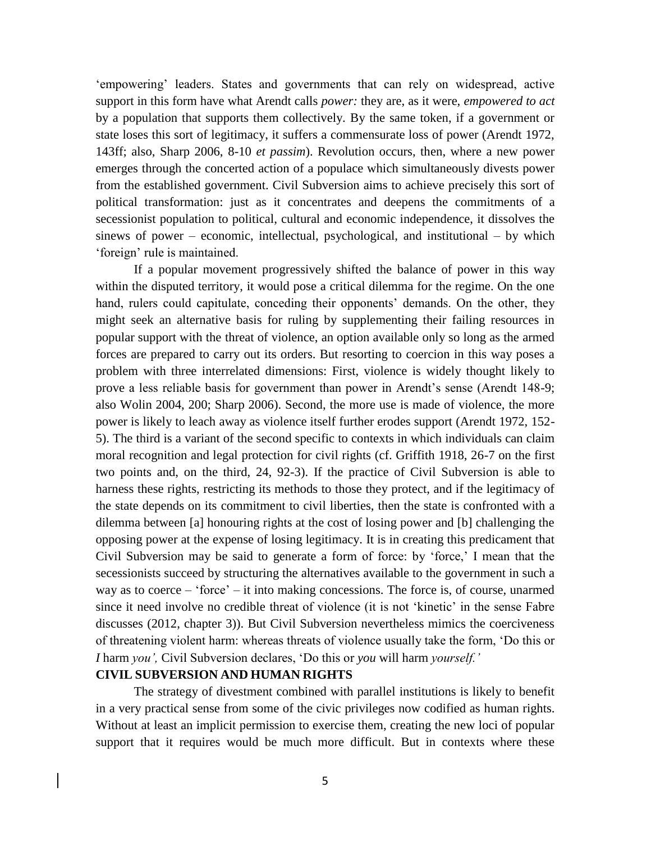'empowering' leaders. States and governments that can rely on widespread, active support in this form have what Arendt calls *power:* they are, as it were, *empowered to act* by a population that supports them collectively. By the same token, if a government or state loses this sort of legitimacy, it suffers a commensurate loss of power (Arendt 1972, 143ff; also, Sharp 2006, 8-10 *et passim*). Revolution occurs, then, where a new power emerges through the concerted action of a populace which simultaneously divests power from the established government. Civil Subversion aims to achieve precisely this sort of political transformation: just as it concentrates and deepens the commitments of a secessionist population to political, cultural and economic independence, it dissolves the sinews of power – economic, intellectual, psychological, and institutional – by which 'foreign' rule is maintained.

If a popular movement progressively shifted the balance of power in this way within the disputed territory, it would pose a critical dilemma for the regime. On the one hand, rulers could capitulate, conceding their opponents' demands. On the other, they might seek an alternative basis for ruling by supplementing their failing resources in popular support with the threat of violence, an option available only so long as the armed forces are prepared to carry out its orders. But resorting to coercion in this way poses a problem with three interrelated dimensions: First, violence is widely thought likely to prove a less reliable basis for government than power in Arendt's sense (Arendt 148-9; also Wolin 2004, 200; Sharp 2006). Second, the more use is made of violence, the more power is likely to leach away as violence itself further erodes support (Arendt 1972, 152- 5). The third is a variant of the second specific to contexts in which individuals can claim moral recognition and legal protection for civil rights (cf. Griffith 1918, 26-7 on the first two points and, on the third, 24, 92-3). If the practice of Civil Subversion is able to harness these rights, restricting its methods to those they protect, and if the legitimacy of the state depends on its commitment to civil liberties, then the state is confronted with a dilemma between [a] honouring rights at the cost of losing power and [b] challenging the opposing power at the expense of losing legitimacy. It is in creating this predicament that Civil Subversion may be said to generate a form of force: by 'force,' I mean that the secessionists succeed by structuring the alternatives available to the government in such a way as to coerce – 'force' – it into making concessions. The force is, of course, unarmed since it need involve no credible threat of violence (it is not 'kinetic' in the sense Fabre discusses (2012, chapter 3)). But Civil Subversion nevertheless mimics the coerciveness of threatening violent harm: whereas threats of violence usually take the form, 'Do this or *I* harm *you',* Civil Subversion declares, 'Do this or *you* will harm *yourself.'*

## **CIVIL SUBVERSION AND HUMAN RIGHTS**

The strategy of divestment combined with parallel institutions is likely to benefit in a very practical sense from some of the civic privileges now codified as human rights. Without at least an implicit permission to exercise them, creating the new loci of popular support that it requires would be much more difficult. But in contexts where these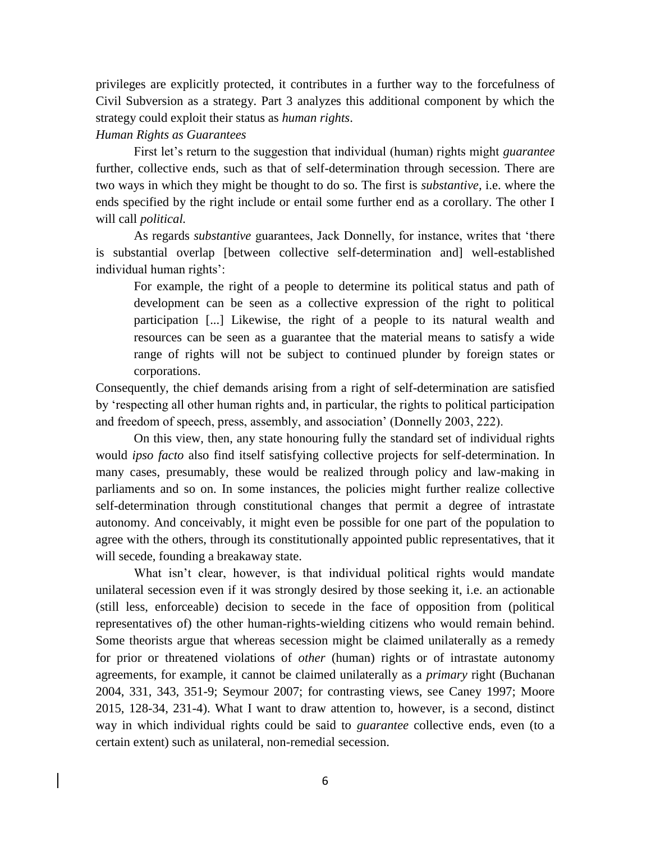privileges are explicitly protected, it contributes in a further way to the forcefulness of Civil Subversion as a strategy. Part 3 analyzes this additional component by which the strategy could exploit their status as *human rights*.

### *Human Rights as Guarantees*

First let's return to the suggestion that individual (human) rights might *guarantee*  further, collective ends, such as that of self-determination through secession. There are two ways in which they might be thought to do so. The first is *substantive,* i.e. where the ends specified by the right include or entail some further end as a corollary. The other I will call *political.* 

As regards *substantive* guarantees, Jack Donnelly, for instance, writes that 'there is substantial overlap [between collective self-determination and] well-established individual human rights':

For example, the right of a people to determine its political status and path of development can be seen as a collective expression of the right to political participation [...] Likewise, the right of a people to its natural wealth and resources can be seen as a guarantee that the material means to satisfy a wide range of rights will not be subject to continued plunder by foreign states or corporations.

Consequently, the chief demands arising from a right of self-determination are satisfied by 'respecting all other human rights and, in particular, the rights to political participation and freedom of speech, press, assembly, and association' (Donnelly 2003, 222).

On this view, then, any state honouring fully the standard set of individual rights would *ipso facto* also find itself satisfying collective projects for self-determination. In many cases, presumably, these would be realized through policy and law-making in parliaments and so on. In some instances, the policies might further realize collective self-determination through constitutional changes that permit a degree of intrastate autonomy. And conceivably, it might even be possible for one part of the population to agree with the others, through its constitutionally appointed public representatives, that it will secede, founding a breakaway state.

What isn't clear, however, is that individual political rights would mandate unilateral secession even if it was strongly desired by those seeking it, i.e. an actionable (still less, enforceable) decision to secede in the face of opposition from (political representatives of) the other human-rights-wielding citizens who would remain behind. Some theorists argue that whereas secession might be claimed unilaterally as a remedy for prior or threatened violations of *other* (human) rights or of intrastate autonomy agreements, for example, it cannot be claimed unilaterally as a *primary* right (Buchanan 2004, 331, 343, 351-9; Seymour 2007; for contrasting views, see Caney 1997; Moore 2015, 128-34, 231-4). What I want to draw attention to, however, is a second, distinct way in which individual rights could be said to *guarantee* collective ends, even (to a certain extent) such as unilateral, non-remedial secession.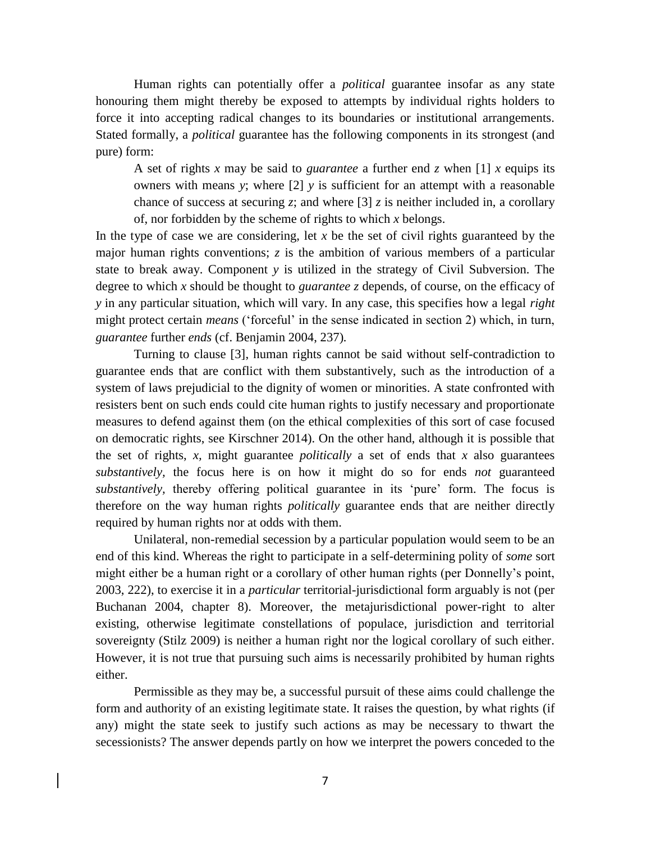Human rights can potentially offer a *political* guarantee insofar as any state honouring them might thereby be exposed to attempts by individual rights holders to force it into accepting radical changes to its boundaries or institutional arrangements. Stated formally, a *political* guarantee has the following components in its strongest (and pure) form:

A set of rights *x* may be said to *guarantee* a further end *z* when [1] *x* equips its owners with means *y*; where [2] *y* is sufficient for an attempt with a reasonable chance of success at securing *z*; and where [3] *z* is neither included in, a corollary of, nor forbidden by the scheme of rights to which *x* belongs.

In the type of case we are considering, let  $x$  be the set of civil rights guaranteed by the major human rights conventions; *z* is the ambition of various members of a particular state to break away. Component *y* is utilized in the strategy of Civil Subversion. The degree to which *x* should be thought to *guarantee z* depends, of course, on the efficacy of *y* in any particular situation, which will vary. In any case, this specifies how a legal *right*  might protect certain *means* ('forceful' in the sense indicated in section 2) which, in turn, *guarantee* further *ends* (cf. Benjamin 2004, 237)*.*

Turning to clause [3], human rights cannot be said without self-contradiction to guarantee ends that are conflict with them substantively, such as the introduction of a system of laws prejudicial to the dignity of women or minorities. A state confronted with resisters bent on such ends could cite human rights to justify necessary and proportionate measures to defend against them (on the ethical complexities of this sort of case focused on democratic rights, see Kirschner 2014). On the other hand, although it is possible that the set of rights, *x,* might guarantee *politically* a set of ends that *x* also guarantees *substantively,* the focus here is on how it might do so for ends *not* guaranteed *substantively,* thereby offering political guarantee in its 'pure' form*.* The focus is therefore on the way human rights *politically* guarantee ends that are neither directly required by human rights nor at odds with them.

Unilateral, non-remedial secession by a particular population would seem to be an end of this kind. Whereas the right to participate in a self-determining polity of *some* sort might either be a human right or a corollary of other human rights (per Donnelly's point, 2003, 222), to exercise it in a *particular* territorial-jurisdictional form arguably is not (per Buchanan 2004, chapter 8). Moreover, the metajurisdictional power-right to alter existing, otherwise legitimate constellations of populace, jurisdiction and territorial sovereignty (Stilz 2009) is neither a human right nor the logical corollary of such either. However, it is not true that pursuing such aims is necessarily prohibited by human rights either.

Permissible as they may be, a successful pursuit of these aims could challenge the form and authority of an existing legitimate state. It raises the question, by what rights (if any) might the state seek to justify such actions as may be necessary to thwart the secessionists? The answer depends partly on how we interpret the powers conceded to the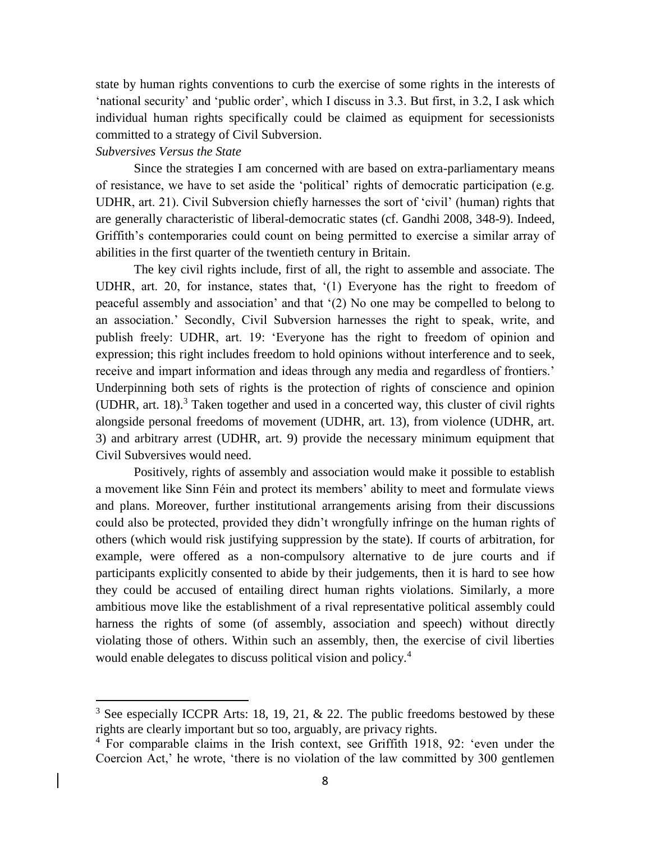state by human rights conventions to curb the exercise of some rights in the interests of 'national security' and 'public order', which I discuss in 3.3. But first, in 3.2, I ask which individual human rights specifically could be claimed as equipment for secessionists committed to a strategy of Civil Subversion.

# *Subversives Versus the State*

 $\overline{a}$ 

Since the strategies I am concerned with are based on extra-parliamentary means of resistance, we have to set aside the 'political' rights of democratic participation (e.g. UDHR, art. 21). Civil Subversion chiefly harnesses the sort of 'civil' (human) rights that are generally characteristic of liberal-democratic states (cf. Gandhi 2008, 348-9). Indeed, Griffith's contemporaries could count on being permitted to exercise a similar array of abilities in the first quarter of the twentieth century in Britain.

The key civil rights include, first of all, the right to assemble and associate. The UDHR, art. 20, for instance, states that, '(1) Everyone has the right to freedom of peaceful assembly and association' and that '(2) No one may be compelled to belong to an association.' Secondly, Civil Subversion harnesses the right to speak, write, and publish freely: UDHR, art. 19: 'Everyone has the right to freedom of opinion and expression; this right includes freedom to hold opinions without interference and to seek, receive and impart information and ideas through any media and regardless of frontiers.' Underpinning both sets of rights is the protection of rights of conscience and opinion (UDHR, art. 18). $3$  Taken together and used in a concerted way, this cluster of civil rights alongside personal freedoms of movement (UDHR, art. 13), from violence (UDHR, art. 3) and arbitrary arrest (UDHR, art. 9) provide the necessary minimum equipment that Civil Subversives would need.

Positively, rights of assembly and association would make it possible to establish a movement like Sinn Féin and protect its members' ability to meet and formulate views and plans. Moreover, further institutional arrangements arising from their discussions could also be protected, provided they didn't wrongfully infringe on the human rights of others (which would risk justifying suppression by the state). If courts of arbitration, for example, were offered as a non-compulsory alternative to de jure courts and if participants explicitly consented to abide by their judgements, then it is hard to see how they could be accused of entailing direct human rights violations. Similarly, a more ambitious move like the establishment of a rival representative political assembly could harness the rights of some (of assembly, association and speech) without directly violating those of others. Within such an assembly, then, the exercise of civil liberties would enable delegates to discuss political vision and policy.<sup>4</sup>

<sup>&</sup>lt;sup>3</sup> See especially ICCPR Arts: 18, 19, 21,  $\&$  22. The public freedoms bestowed by these rights are clearly important but so too, arguably, are privacy rights.

<sup>4</sup> For comparable claims in the Irish context, see Griffith 1918, 92: 'even under the Coercion Act,' he wrote, 'there is no violation of the law committed by 300 gentlemen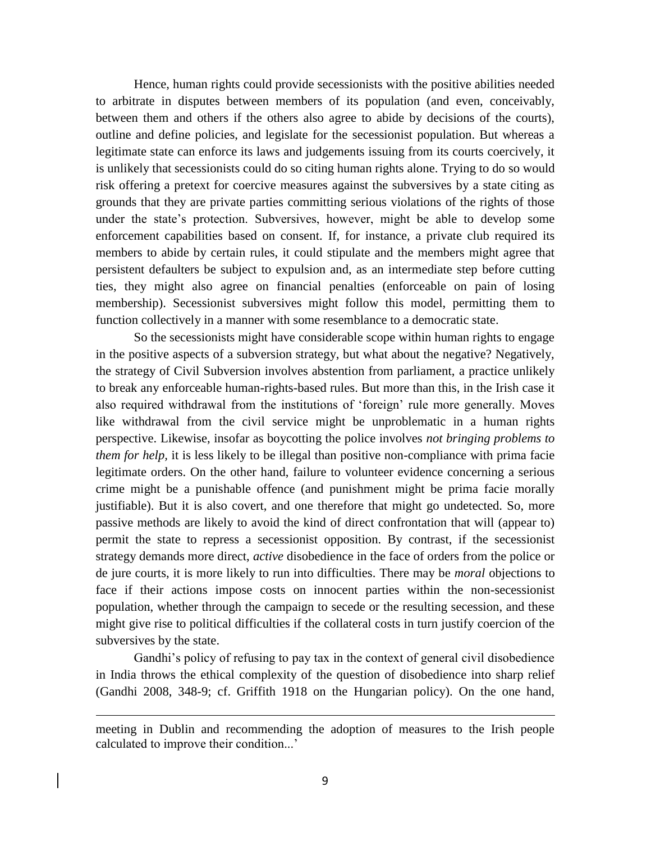Hence, human rights could provide secessionists with the positive abilities needed to arbitrate in disputes between members of its population (and even, conceivably, between them and others if the others also agree to abide by decisions of the courts), outline and define policies, and legislate for the secessionist population. But whereas a legitimate state can enforce its laws and judgements issuing from its courts coercively, it is unlikely that secessionists could do so citing human rights alone. Trying to do so would risk offering a pretext for coercive measures against the subversives by a state citing as grounds that they are private parties committing serious violations of the rights of those under the state's protection. Subversives, however, might be able to develop some enforcement capabilities based on consent. If, for instance, a private club required its members to abide by certain rules, it could stipulate and the members might agree that persistent defaulters be subject to expulsion and, as an intermediate step before cutting ties, they might also agree on financial penalties (enforceable on pain of losing membership). Secessionist subversives might follow this model, permitting them to function collectively in a manner with some resemblance to a democratic state.

So the secessionists might have considerable scope within human rights to engage in the positive aspects of a subversion strategy, but what about the negative? Negatively, the strategy of Civil Subversion involves abstention from parliament, a practice unlikely to break any enforceable human-rights-based rules. But more than this, in the Irish case it also required withdrawal from the institutions of 'foreign' rule more generally. Moves like withdrawal from the civil service might be unproblematic in a human rights perspective. Likewise, insofar as boycotting the police involves *not bringing problems to them for help,* it is less likely to be illegal than positive non-compliance with prima facie legitimate orders. On the other hand, failure to volunteer evidence concerning a serious crime might be a punishable offence (and punishment might be prima facie morally justifiable). But it is also covert, and one therefore that might go undetected. So, more passive methods are likely to avoid the kind of direct confrontation that will (appear to) permit the state to repress a secessionist opposition. By contrast, if the secessionist strategy demands more direct, *active* disobedience in the face of orders from the police or de jure courts, it is more likely to run into difficulties. There may be *moral* objections to face if their actions impose costs on innocent parties within the non-secessionist population, whether through the campaign to secede or the resulting secession, and these might give rise to political difficulties if the collateral costs in turn justify coercion of the subversives by the state.

Gandhi's policy of refusing to pay tax in the context of general civil disobedience in India throws the ethical complexity of the question of disobedience into sharp relief (Gandhi 2008, 348-9; cf. Griffith 1918 on the Hungarian policy). On the one hand,

 $\overline{a}$ 

meeting in Dublin and recommending the adoption of measures to the Irish people calculated to improve their condition...'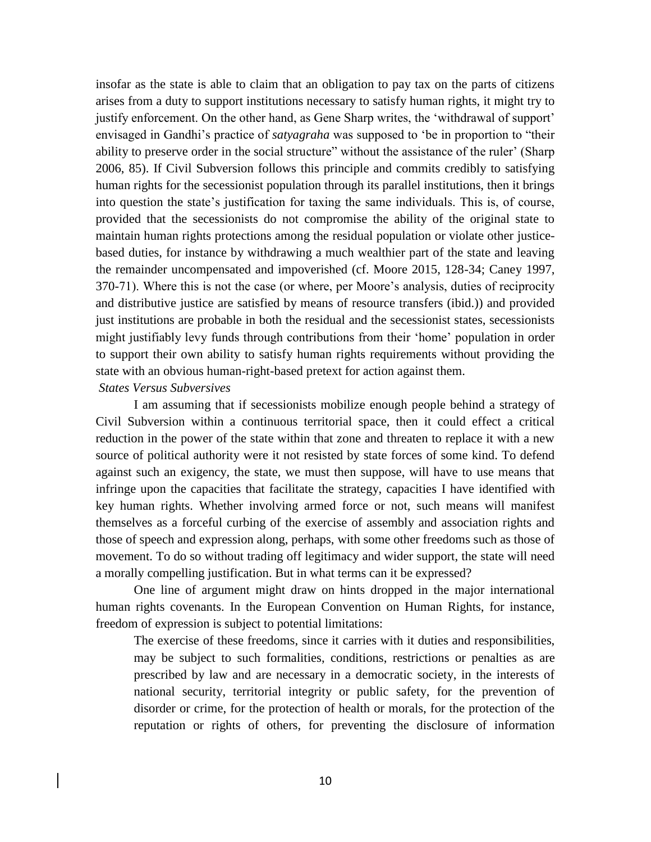insofar as the state is able to claim that an obligation to pay tax on the parts of citizens arises from a duty to support institutions necessary to satisfy human rights, it might try to justify enforcement. On the other hand, as Gene Sharp writes, the 'withdrawal of support' envisaged in Gandhi's practice of *satyagraha* was supposed to 'be in proportion to "their ability to preserve order in the social structure" without the assistance of the ruler' (Sharp 2006, 85). If Civil Subversion follows this principle and commits credibly to satisfying human rights for the secessionist population through its parallel institutions, then it brings into question the state's justification for taxing the same individuals. This is, of course, provided that the secessionists do not compromise the ability of the original state to maintain human rights protections among the residual population or violate other justicebased duties, for instance by withdrawing a much wealthier part of the state and leaving the remainder uncompensated and impoverished (cf. Moore 2015, 128-34; Caney 1997, 370-71). Where this is not the case (or where, per Moore's analysis, duties of reciprocity and distributive justice are satisfied by means of resource transfers (ibid.)) and provided just institutions are probable in both the residual and the secessionist states, secessionists might justifiably levy funds through contributions from their 'home' population in order to support their own ability to satisfy human rights requirements without providing the state with an obvious human-right-based pretext for action against them.

### *States Versus Subversives*

I am assuming that if secessionists mobilize enough people behind a strategy of Civil Subversion within a continuous territorial space, then it could effect a critical reduction in the power of the state within that zone and threaten to replace it with a new source of political authority were it not resisted by state forces of some kind. To defend against such an exigency, the state, we must then suppose, will have to use means that infringe upon the capacities that facilitate the strategy, capacities I have identified with key human rights. Whether involving armed force or not, such means will manifest themselves as a forceful curbing of the exercise of assembly and association rights and those of speech and expression along, perhaps, with some other freedoms such as those of movement. To do so without trading off legitimacy and wider support, the state will need a morally compelling justification. But in what terms can it be expressed?

One line of argument might draw on hints dropped in the major international human rights covenants. In the European Convention on Human Rights, for instance, freedom of expression is subject to potential limitations:

The exercise of these freedoms, since it carries with it duties and responsibilities, may be subject to such formalities, conditions, restrictions or penalties as are prescribed by law and are necessary in a democratic society, in the interests of national security, territorial integrity or public safety, for the prevention of disorder or crime, for the protection of health or morals, for the protection of the reputation or rights of others, for preventing the disclosure of information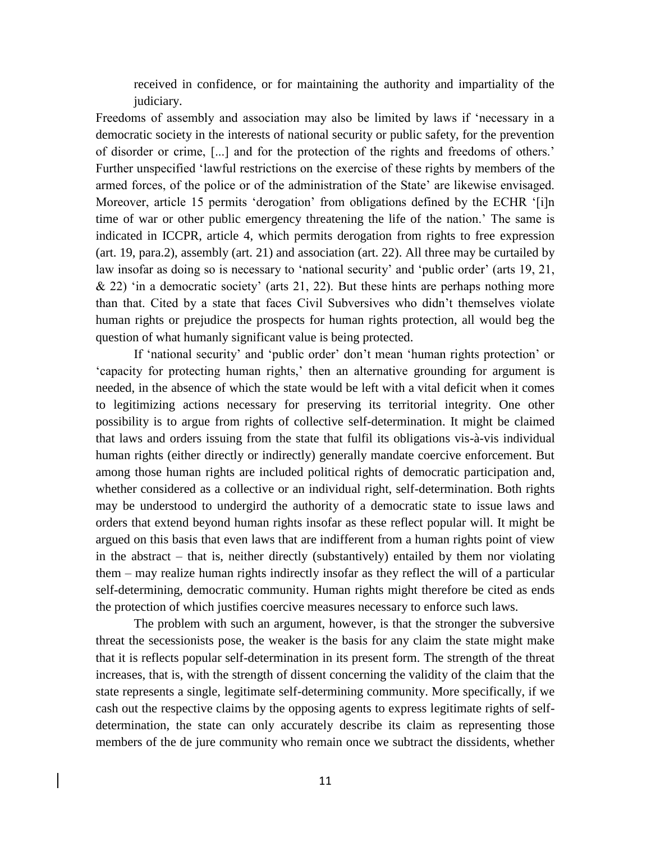received in confidence, or for maintaining the authority and impartiality of the judiciary.

Freedoms of assembly and association may also be limited by laws if 'necessary in a democratic society in the interests of national security or public safety, for the prevention of disorder or crime, [...] and for the protection of the rights and freedoms of others.' Further unspecified 'lawful restrictions on the exercise of these rights by members of the armed forces, of the police or of the administration of the State' are likewise envisaged. Moreover, article 15 permits 'derogation' from obligations defined by the ECHR '[i]n time of war or other public emergency threatening the life of the nation.' The same is indicated in ICCPR, article 4, which permits derogation from rights to free expression (art. 19, para.2), assembly (art. 21) and association (art. 22). All three may be curtailed by law insofar as doing so is necessary to 'national security' and 'public order' (arts 19, 21,  $\&$  22) 'in a democratic society' (arts 21, 22). But these hints are perhaps nothing more than that. Cited by a state that faces Civil Subversives who didn't themselves violate human rights or prejudice the prospects for human rights protection, all would beg the question of what humanly significant value is being protected.

If 'national security' and 'public order' don't mean 'human rights protection' or 'capacity for protecting human rights,' then an alternative grounding for argument is needed, in the absence of which the state would be left with a vital deficit when it comes to legitimizing actions necessary for preserving its territorial integrity. One other possibility is to argue from rights of collective self-determination. It might be claimed that laws and orders issuing from the state that fulfil its obligations vis-à-vis individual human rights (either directly or indirectly) generally mandate coercive enforcement. But among those human rights are included political rights of democratic participation and, whether considered as a collective or an individual right, self-determination. Both rights may be understood to undergird the authority of a democratic state to issue laws and orders that extend beyond human rights insofar as these reflect popular will. It might be argued on this basis that even laws that are indifferent from a human rights point of view in the abstract – that is, neither directly (substantively) entailed by them nor violating them – may realize human rights indirectly insofar as they reflect the will of a particular self-determining, democratic community. Human rights might therefore be cited as ends the protection of which justifies coercive measures necessary to enforce such laws.

The problem with such an argument, however, is that the stronger the subversive threat the secessionists pose, the weaker is the basis for any claim the state might make that it is reflects popular self-determination in its present form. The strength of the threat increases, that is, with the strength of dissent concerning the validity of the claim that the state represents a single, legitimate self-determining community. More specifically, if we cash out the respective claims by the opposing agents to express legitimate rights of selfdetermination, the state can only accurately describe its claim as representing those members of the de jure community who remain once we subtract the dissidents, whether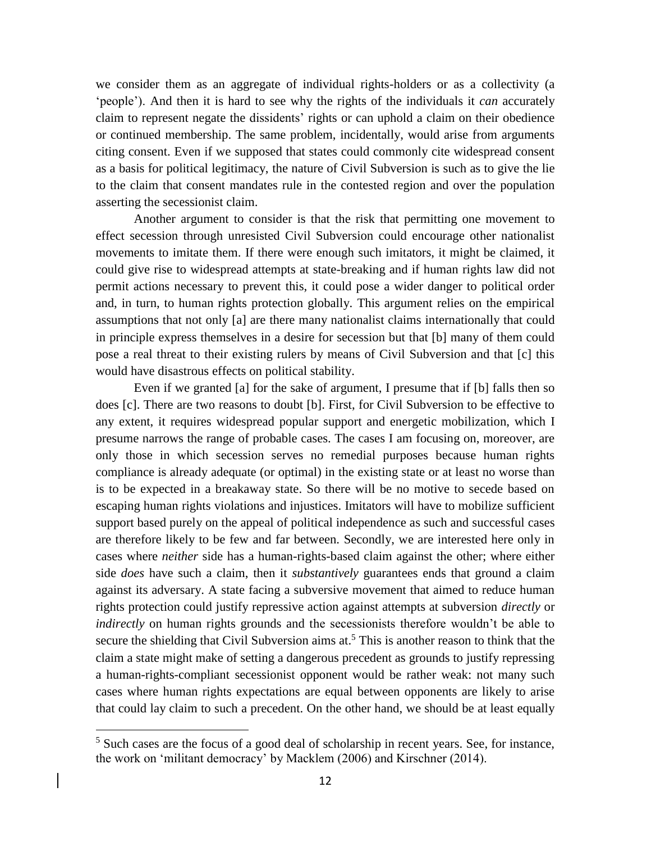we consider them as an aggregate of individual rights-holders or as a collectivity (a 'people'). And then it is hard to see why the rights of the individuals it *can* accurately claim to represent negate the dissidents' rights or can uphold a claim on their obedience or continued membership. The same problem, incidentally, would arise from arguments citing consent. Even if we supposed that states could commonly cite widespread consent as a basis for political legitimacy, the nature of Civil Subversion is such as to give the lie to the claim that consent mandates rule in the contested region and over the population asserting the secessionist claim.

Another argument to consider is that the risk that permitting one movement to effect secession through unresisted Civil Subversion could encourage other nationalist movements to imitate them. If there were enough such imitators, it might be claimed, it could give rise to widespread attempts at state-breaking and if human rights law did not permit actions necessary to prevent this, it could pose a wider danger to political order and, in turn, to human rights protection globally. This argument relies on the empirical assumptions that not only [a] are there many nationalist claims internationally that could in principle express themselves in a desire for secession but that [b] many of them could pose a real threat to their existing rulers by means of Civil Subversion and that [c] this would have disastrous effects on political stability.

Even if we granted [a] for the sake of argument, I presume that if [b] falls then so does [c]. There are two reasons to doubt [b]. First, for Civil Subversion to be effective to any extent, it requires widespread popular support and energetic mobilization, which I presume narrows the range of probable cases. The cases I am focusing on, moreover, are only those in which secession serves no remedial purposes because human rights compliance is already adequate (or optimal) in the existing state or at least no worse than is to be expected in a breakaway state. So there will be no motive to secede based on escaping human rights violations and injustices. Imitators will have to mobilize sufficient support based purely on the appeal of political independence as such and successful cases are therefore likely to be few and far between. Secondly, we are interested here only in cases where *neither* side has a human-rights-based claim against the other; where either side *does* have such a claim, then it *substantively* guarantees ends that ground a claim against its adversary. A state facing a subversive movement that aimed to reduce human rights protection could justify repressive action against attempts at subversion *directly* or *indirectly* on human rights grounds and the secessionists therefore wouldn't be able to secure the shielding that Civil Subversion aims at.<sup>5</sup> This is another reason to think that the claim a state might make of setting a dangerous precedent as grounds to justify repressing a human-rights-compliant secessionist opponent would be rather weak: not many such cases where human rights expectations are equal between opponents are likely to arise that could lay claim to such a precedent. On the other hand, we should be at least equally

 $\overline{a}$ 

 $5$  Such cases are the focus of a good deal of scholarship in recent years. See, for instance, the work on 'militant democracy' by Macklem (2006) and Kirschner (2014).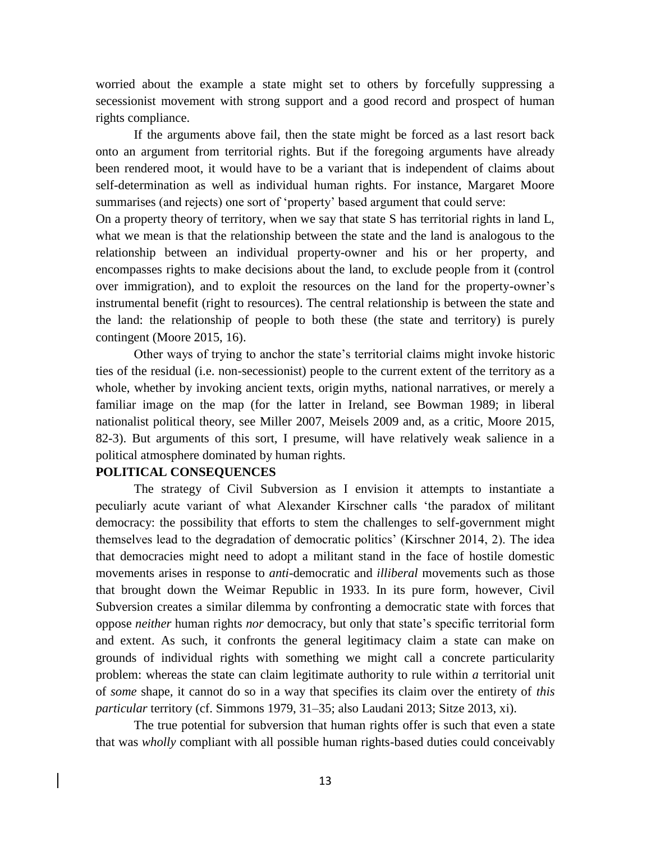worried about the example a state might set to others by forcefully suppressing a secessionist movement with strong support and a good record and prospect of human rights compliance.

If the arguments above fail, then the state might be forced as a last resort back onto an argument from territorial rights. But if the foregoing arguments have already been rendered moot, it would have to be a variant that is independent of claims about self-determination as well as individual human rights. For instance, Margaret Moore summarises (and rejects) one sort of 'property' based argument that could serve:

On a property theory of territory, when we say that state S has territorial rights in land L, what we mean is that the relationship between the state and the land is analogous to the relationship between an individual property-owner and his or her property, and encompasses rights to make decisions about the land, to exclude people from it (control over immigration), and to exploit the resources on the land for the property-owner's instrumental benefit (right to resources). The central relationship is between the state and the land: the relationship of people to both these (the state and territory) is purely contingent (Moore 2015, 16).

Other ways of trying to anchor the state's territorial claims might invoke historic ties of the residual (i.e. non-secessionist) people to the current extent of the territory as a whole, whether by invoking ancient texts, origin myths, national narratives, or merely a familiar image on the map (for the latter in Ireland, see Bowman 1989; in liberal nationalist political theory, see Miller 2007, Meisels 2009 and, as a critic, Moore 2015, 82-3). But arguments of this sort, I presume, will have relatively weak salience in a political atmosphere dominated by human rights.

### **POLITICAL CONSEQUENCES**

The strategy of Civil Subversion as I envision it attempts to instantiate a peculiarly acute variant of what Alexander Kirschner calls 'the paradox of militant democracy: the possibility that efforts to stem the challenges to self-government might themselves lead to the degradation of democratic politics' (Kirschner 2014, 2). The idea that democracies might need to adopt a militant stand in the face of hostile domestic movements arises in response to *anti-*democratic and *illiberal* movements such as those that brought down the Weimar Republic in 1933. In its pure form, however, Civil Subversion creates a similar dilemma by confronting a democratic state with forces that oppose *neither* human rights *nor* democracy, but only that state's specific territorial form and extent. As such, it confronts the general legitimacy claim a state can make on grounds of individual rights with something we might call a concrete particularity problem: whereas the state can claim legitimate authority to rule within *a* territorial unit of *some* shape*,* it cannot do so in a way that specifies its claim over the entirety of *this particular* territory (cf. Simmons 1979, 31–35; also Laudani 2013; Sitze 2013, xi).

The true potential for subversion that human rights offer is such that even a state that was *wholly* compliant with all possible human rights-based duties could conceivably